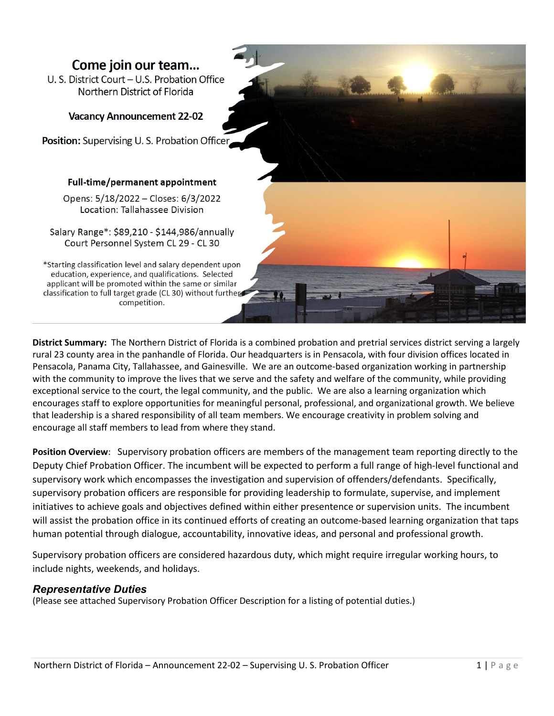# Come join our team...

U. S. District Court - U.S. Probation Office Northern District of Florida

# **Vacancy Announcement 22-02**

Position: Supervising U.S. Probation Officer,

## Full-time/permanent appointment

Opens: 5/18/2022 - Closes: 6/3/2022 Location: Tallahassee Division

Salary Range\*: \$89,210 - \$144,986/annually Court Personnel System CL 29 - CL 30

\*Starting classification level and salary dependent upon education, experience, and qualifications. Selected applicant will be promoted within the same or similar classification to full target grade (CL 30) without further competition.

**District Summary:** The Northern District of Florida is a combined probation and pretrial services district serving a largely rural 23 county area in the panhandle of Florida. Our headquarters is in Pensacola, with four division offices located in Pensacola, Panama City, Tallahassee, and Gainesville. We are an outcome-based organization working in partnership with the community to improve the lives that we serve and the safety and welfare of the community, while providing exceptional service to the court, the legal community, and the public. We are also a learning organization which encourages staff to explore opportunities for meaningful personal, professional, and organizational growth. We believe that leadership is a shared responsibility of all team members. We encourage creativity in problem solving and encourage all staff members to lead from where they stand.

**Position Overview**: Supervisory probation officers are members of the management team reporting directly to the Deputy Chief Probation Officer. The incumbent will be expected to perform a full range of high-level functional and supervisory work which encompasses the investigation and supervision of offenders/defendants. Specifically, supervisory probation officers are responsible for providing leadership to formulate, supervise, and implement initiatives to achieve goals and objectives defined within either presentence or supervision units. The incumbent will assist the probation office in its continued efforts of creating an outcome-based learning organization that taps human potential through dialogue, accountability, innovative ideas, and personal and professional growth.

Supervisory probation officers are considered hazardous duty, which might require irregular working hours, to include nights, weekends, and holidays.

## *Representative Duties*

(Please see attached Supervisory Probation Officer Description for a listing of potential duties.)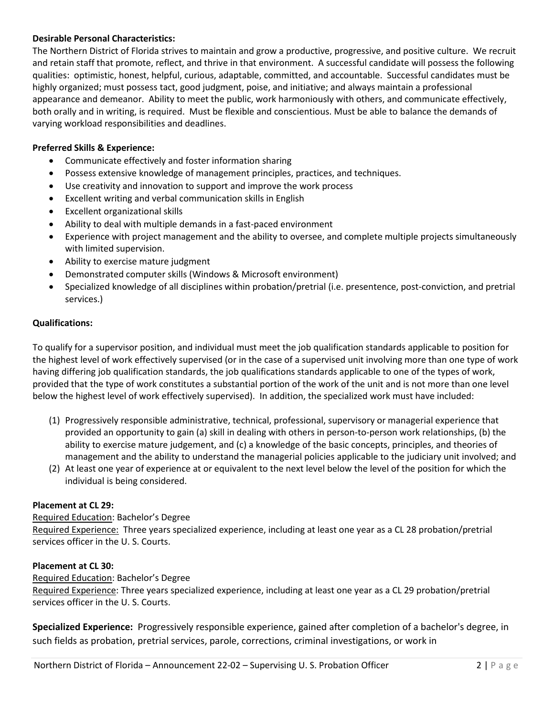#### **Desirable Personal Characteristics:**

The Northern District of Florida strives to maintain and grow a productive, progressive, and positive culture. We recruit and retain staff that promote, reflect, and thrive in that environment. A successful candidate will possess the following qualities: optimistic, honest, helpful, curious, adaptable, committed, and accountable. Successful candidates must be highly organized; must possess tact, good judgment, poise, and initiative; and always maintain a professional appearance and demeanor. Ability to meet the public, work harmoniously with others, and communicate effectively, both orally and in writing, is required. Must be flexible and conscientious. Must be able to balance the demands of varying workload responsibilities and deadlines.

#### **Preferred Skills & Experience:**

- Communicate effectively and foster information sharing
- Possess extensive knowledge of management principles, practices, and techniques.
- Use creativity and innovation to support and improve the work process
- Excellent writing and verbal communication skills in English
- Excellent organizational skills
- Ability to deal with multiple demands in a fast-paced environment
- Experience with project management and the ability to oversee, and complete multiple projects simultaneously with limited supervision.
- Ability to exercise mature judgment
- Demonstrated computer skills (Windows & Microsoft environment)
- Specialized knowledge of all disciplines within probation/pretrial (i.e. presentence, post-conviction, and pretrial services.)

#### **Qualifications:**

To qualify for a supervisor position, and individual must meet the job qualification standards applicable to position for the highest level of work effectively supervised (or in the case of a supervised unit involving more than one type of work having differing job qualification standards, the job qualifications standards applicable to one of the types of work, provided that the type of work constitutes a substantial portion of the work of the unit and is not more than one level below the highest level of work effectively supervised). In addition, the specialized work must have included:

- (1) Progressively responsible administrative, technical, professional, supervisory or managerial experience that provided an opportunity to gain (a) skill in dealing with others in person-to-person work relationships, (b) the ability to exercise mature judgement, and (c) a knowledge of the basic concepts, principles, and theories of management and the ability to understand the managerial policies applicable to the judiciary unit involved; and
- (2) At least one year of experience at or equivalent to the next level below the level of the position for which the individual is being considered.

#### **Placement at CL 29:**

Required Education: Bachelor's Degree Required Experience: Three years specialized experience, including at least one year as a CL 28 probation/pretrial services officer in the U. S. Courts.

#### **Placement at CL 30:**

Required Education: Bachelor's Degree Required Experience: Three years specialized experience, including at least one year as a CL 29 probation/pretrial services officer in the U. S. Courts.

**Specialized Experience:** Progressively responsible experience, gained after completion of a bachelor's degree, in such fields as probation, pretrial services, parole, corrections, criminal investigations, or work in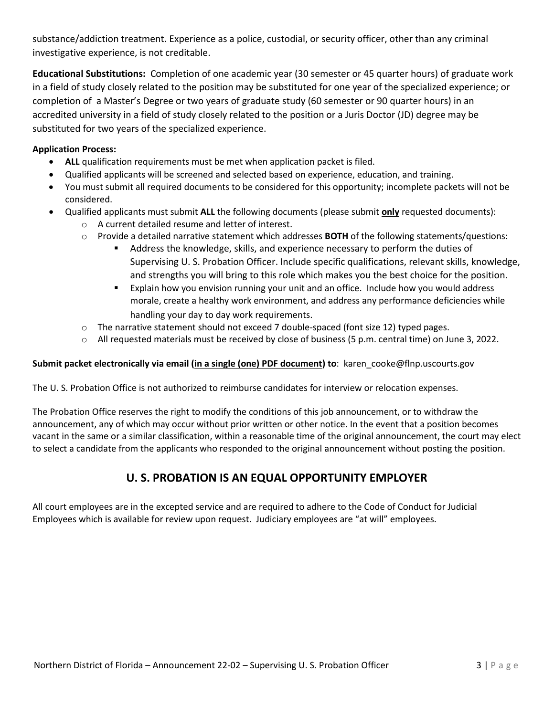substance/addiction treatment. Experience as a police, custodial, or security officer, other than any criminal investigative experience, is not creditable.

**Educational Substitutions:** Completion of one academic year (30 semester or 45 quarter hours) of graduate work in a field of study closely related to the position may be substituted for one year of the specialized experience; or completion of a Master's Degree or two years of graduate study (60 semester or 90 quarter hours) in an accredited university in a field of study closely related to the position or a Juris Doctor (JD) degree may be substituted for two years of the specialized experience.

# **Application Process:**

- **ALL** qualification requirements must be met when application packet is filed.
- Qualified applicants will be screened and selected based on experience, education, and training.
- You must submit all required documents to be considered for this opportunity; incomplete packets will not be considered.
- Qualified applicants must submit **ALL** the following documents (please submit **only** requested documents):
	- o A current detailed resume and letter of interest.
	- o Provide a detailed narrative statement which addresses **BOTH** of the following statements/questions:
		- Address the knowledge, skills, and experience necessary to perform the duties of Supervising U. S. Probation Officer. Include specific qualifications, relevant skills, knowledge, and strengths you will bring to this role which makes you the best choice for the position.
		- Explain how you envision running your unit and an office. Include how you would address morale, create a healthy work environment, and address any performance deficiencies while handling your day to day work requirements.
	- $\circ$  The narrative statement should not exceed 7 double-spaced (font size 12) typed pages.
	- o All requested materials must be received by close of business (5 p.m. central time) on June 3, 2022.

## **Submit packet electronically via email (in a single (one) PDF document) to**: karen\_cooke@flnp.uscourts.gov

The U. S. Probation Office is not authorized to reimburse candidates for interview or relocation expenses.

The Probation Office reserves the right to modify the conditions of this job announcement, or to withdraw the announcement, any of which may occur without prior written or other notice. In the event that a position becomes vacant in the same or a similar classification, within a reasonable time of the original announcement, the court may elect to select a candidate from the applicants who responded to the original announcement without posting the position.

# **U. S. PROBATION IS AN EQUAL OPPORTUNITY EMPLOYER**

All court employees are in the excepted service and are required to adhere to the Code of Conduct for Judicial Employees which is available for review upon request. Judiciary employees are "at will" employees.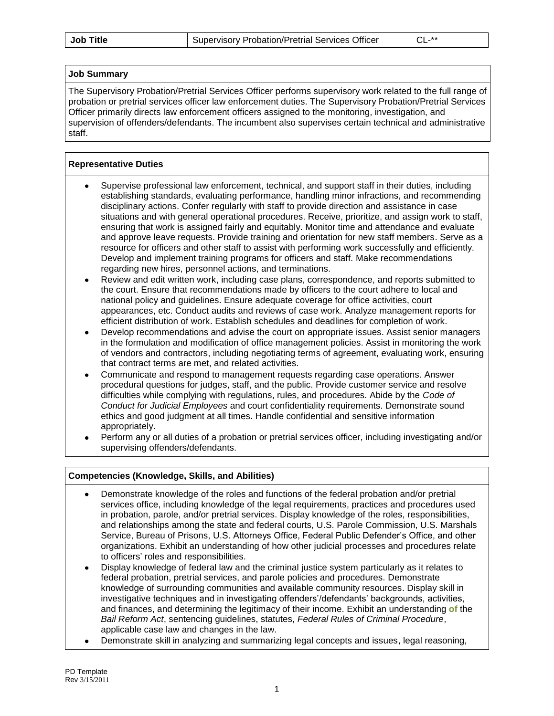#### **Job Summary**

The Supervisory Probation/Pretrial Services Officer performs supervisory work related to the full range of probation or pretrial services officer law enforcement duties. The Supervisory Probation/Pretrial Services Officer primarily directs law enforcement officers assigned to the monitoring, investigation, and supervision of offenders/defendants. The incumbent also supervises certain technical and administrative staff.

#### **Representative Duties**

- Supervise professional law enforcement, technical, and support staff in their duties, including establishing standards, evaluating performance, handling minor infractions, and recommending disciplinary actions. Confer regularly with staff to provide direction and assistance in case situations and with general operational procedures. Receive, prioritize, and assign work to staff, ensuring that work is assigned fairly and equitably. Monitor time and attendance and evaluate and approve leave requests. Provide training and orientation for new staff members. Serve as a resource for officers and other staff to assist with performing work successfully and efficiently. Develop and implement training programs for officers and staff. Make recommendations regarding new hires, personnel actions, and terminations.
- Review and edit written work, including case plans, correspondence, and reports submitted to  $\bullet$ the court. Ensure that recommendations made by officers to the court adhere to local and national policy and guidelines. Ensure adequate coverage for office activities, court appearances, etc. Conduct audits and reviews of case work. Analyze management reports for efficient distribution of work. Establish schedules and deadlines for completion of work.
- Develop recommendations and advise the court on appropriate issues. Assist senior managers in the formulation and modification of office management policies. Assist in monitoring the work of vendors and contractors, including negotiating terms of agreement, evaluating work, ensuring that contract terms are met, and related activities.
- Communicate and respond to management requests regarding case operations. Answer procedural questions for judges, staff, and the public. Provide customer service and resolve difficulties while complying with regulations, rules, and procedures. Abide by the *Code of Conduct for Judicial Employees* and court confidentiality requirements. Demonstrate sound ethics and good judgment at all times. Handle confidential and sensitive information appropriately.
- Perform any or all duties of a probation or pretrial services officer, including investigating and/or supervising offenders/defendants.

#### **Competencies (Knowledge, Skills, and Abilities)**

- Demonstrate knowledge of the roles and functions of the federal probation and/or pretrial services office, including knowledge of the legal requirements, practices and procedures used in probation, parole, and/or pretrial services. Display knowledge of the roles, responsibilities, and relationships among the state and federal courts, U.S. Parole Commission, U.S. Marshals Service, Bureau of Prisons, U.S. Attorneys Office, Federal Public Defender's Office, and other organizations. Exhibit an understanding of how other judicial processes and procedures relate to officers' roles and responsibilities.
- Display knowledge of federal law and the criminal justice system particularly as it relates to  $\bullet$ federal probation, pretrial services, and parole policies and procedures. Demonstrate knowledge of surrounding communities and available community resources. Display skill in investigative techniques and in investigating offenders'/defendants' backgrounds, activities, and finances, and determining the legitimacy of their income. Exhibit an understanding **of** the *Bail Reform Act*, sentencing guidelines, statutes, *Federal Rules of Criminal Procedure*, applicable case law and changes in the law.
- Demonstrate skill in analyzing and summarizing legal concepts and issues, legal reasoning,